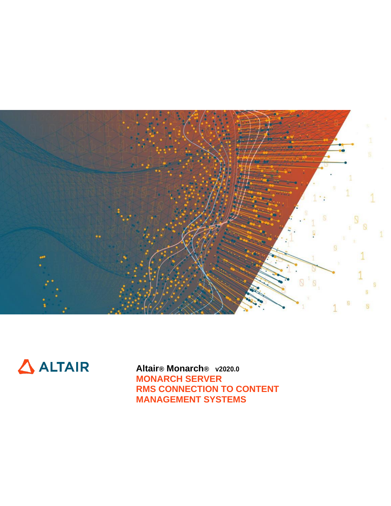



**Altair® Monarch® v2020.0 MONARCH SERVER RMS CONNECTION TO CONTENT MANAGEMENT SYSTEMS**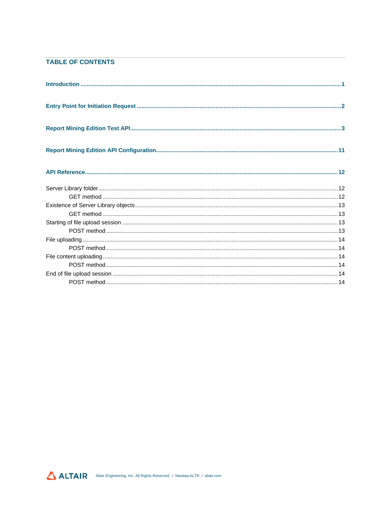# **TABLE OF CONTENTS**

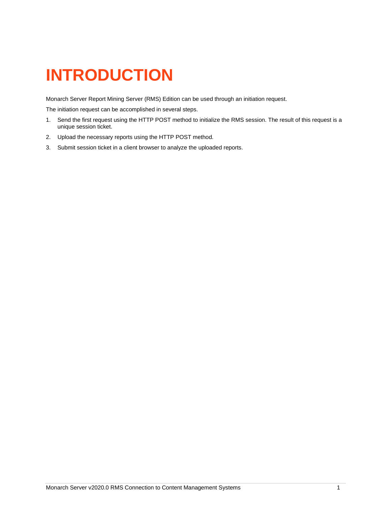# <span id="page-2-0"></span>**INTRODUCTION**

Monarch Server Report Mining Server (RMS) Edition can be used through an initiation request.

The initiation request can be accomplished in several steps.

- 1. Send the first request using the HTTP POST method to initialize the RMS session. The result of this request is a unique session ticket.
- 2. Upload the necessary reports using the HTTP POST method.
- 3. Submit session ticket in a client browser to analyze the uploaded reports.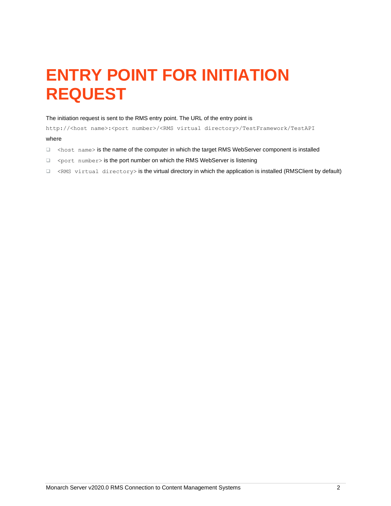# <span id="page-3-0"></span>**ENTRY POINT FOR INITIATION REQUEST**

#### The initiation request is sent to the RMS entry point. The URL of the entry point is

http://<host name>:<port number>/<RMS virtual directory>/TestFramework/TestAPI where

- ❑ <host name> is the name of the computer in which the target RMS WebServer component is installed
- □ <port number> is the port number on which the RMS WebServer is listening
- ❑ <RMS virtual directory> is the virtual directory in which the application is installed (RMSClient by default)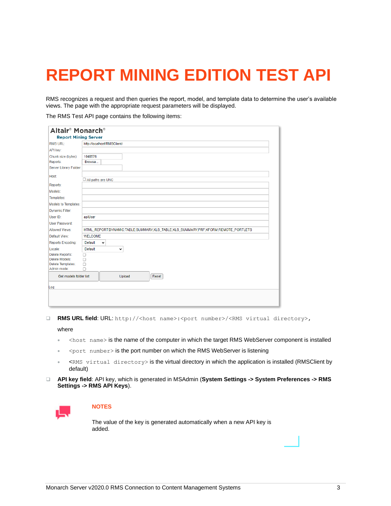# <span id="page-4-0"></span>**REPORT MINING EDITION TEST API**

RMS recognizes a request and then queries the report, model, and template data to determine the user's available views. The page with the appropriate request parameters will be displayed.

The RMS Test API page contains the following items:

| <b>RMS URL:</b>                  | http://localhost/RMSClient/                                                       |
|----------------------------------|-----------------------------------------------------------------------------------|
| API key:                         |                                                                                   |
| Chunk size (bytes):              | 1048576                                                                           |
| Reports:                         | Browse                                                                            |
| Server Library Folder:           |                                                                                   |
| Host:                            | All paths are UNC                                                                 |
| Reports:                         |                                                                                   |
| Models:                          |                                                                                   |
| Templates:                       |                                                                                   |
| <b>Models to Templates:</b>      |                                                                                   |
| Dynamic Filter:                  |                                                                                   |
| User ID:                         | apiUser                                                                           |
| User Password:                   |                                                                                   |
| Allowed Views:                   | HTML_REPORT;DYNAMIC;TABLE;SUMMARY;XLS_TABLE;XLS_SUMMARY;PRF;XFORM;REMOTE_PORTLETS |
| Default View:                    | <b>WELCOME</b>                                                                    |
| <b>Reports Encoding:</b>         | Default<br>$\check{ }$                                                            |
| Locale:                          | <b>Default</b><br>v                                                               |
| <b>Delete Reports:</b>           | п                                                                                 |
| Delete Models:                   | Ω                                                                                 |
| Delete Templates:<br>Admin mode: | $\Box$<br>n                                                                       |
| Get models folder list           | Upload<br>Reset                                                                   |
|                                  |                                                                                   |
| Log:                             |                                                                                   |

❑ **RMS URL field**: URL: http://<host name>:<port number>/<RMS virtual directory>,

where

- <host name> is the name of the computer in which the target RMS WebServer component is installed
- <port number> is the port number on which the RMS WebServer is listening
- <RMS virtual directory> is the virtual directory in which the application is installed (RMSClient by default)
- ❑ **API key field**: API key, which is generated in MSAdmin (**System Settings -> System Preferences -> RMS Settings -> RMS API Keys**).



# **NOTES**

The value of the key is generated automatically when a new API key is added.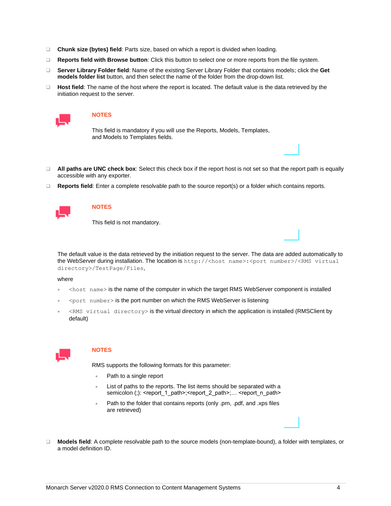- ❑ **Chunk size (bytes) field**: Parts size, based on which a report is divided when loading.
- ❑ **Reports field with Browse button**: Click this button to select one or more reports from the file system.
- ❑ **Server Library Folder field**: Name of the existing Server Library Folder that contains models; click the **Get models folder list** button, and then select the name of the folder from the drop-down list.
- ❑ **Host field**: The name of the host where the report is located. The default value is the data retrieved by the initiation request to the server.



This field is mandatory if you will use the Reports, Models, Templates, and Models to Templates fields.

- ❑ **All paths are UNC check box**: Select this check box if the report host is not set so that the report path is equally accessible with any exporter.
- ❑ **Reports field**: Enter a complete resolvable path to the source report(s) or a folder which contains reports.



## **NOTES**

This field is not mandatory.

The default value is the data retrieved by the initiation request to the server. The data are added automatically to the WebServer during installation. The location is http://<host name>:<port number>/<RMS virtual directory>/TestPage/Files,

#### where

- <host name> is the name of the computer in which the target RMS WebServer component is installed
- $\leq$  port number > is the port number on which the RMS WebServer is listening
- <RMS virtual directory> is the virtual directory in which the application is installed (RMSClient by default)



#### **NOTES**

RMS supports the following formats for this parameter:

- Path to a single report
- List of paths to the reports. The list items should be separated with a semicolon (;): <report\_1\_path>;<report\_2\_path>;... <report\_n\_path>
- Path to the folder that contains reports (only .prn, .pdf, and .xps files are retrieved)
- ❑ **Models field**: A complete resolvable path to the source models (non-template-bound), a folder with templates, or a model definition ID.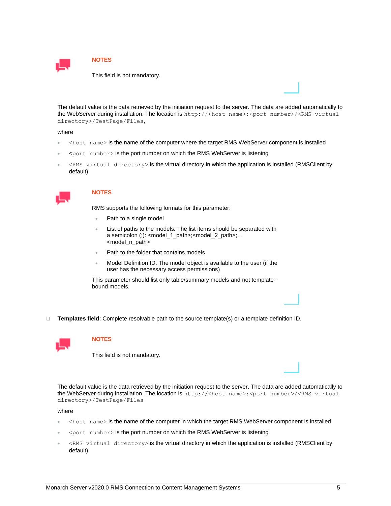

This field is not mandatory.

The default value is the data retrieved by the initiation request to the server. The data are added automatically to the WebServer during installation. The location is http://<host name>:<port number>/<RMS virtual directory>/TestPage/Files,

#### where

- <host name> is the name of the computer where the target RMS WebServer component is installed
- $$
- <RMS virtual directory> is the virtual directory in which the application is installed (RMSClient by default)



## **NOTES**

RMS supports the following formats for this parameter:

- Path to a single model
- List of paths to the models. The list items should be separated with a semicolon (;): <model\_1\_path>;<model\_2\_path>;… <model\_n\_path>
- Path to the folder that contains models
- Model Definition ID. The model object is available to the user (if the user has the necessary access permissions)

This parameter should list only table/summary models and not templatebound models.

❑ **Templates field**: Complete resolvable path to the source template(s) or a template definition ID.



## **NOTES**

This field is not mandatory.

The default value is the data retrieved by the initiation request to the server. The data are added automatically to the WebServer during installation. The location is http://<host name>:<port number>/<RMS virtual directory>/TestPage/Files

where

- <host name> is the name of the computer in which the target RMS WebServer component is installed
- <port number> is the port number on which the RMS WebServer is listening
- <RMS virtual directory> is the virtual directory in which the application is installed (RMSClient by default)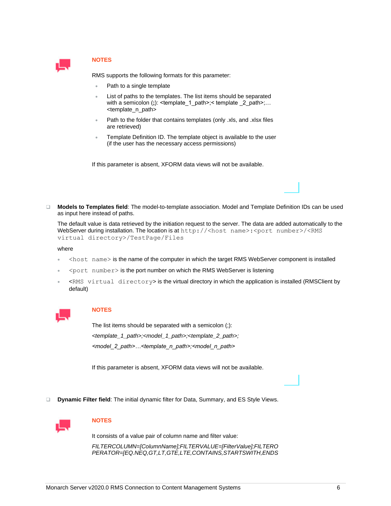

RMS supports the following formats for this parameter:

- Path to a single template
- List of paths to the templates. The list items should be separated with a semicolon (;): <template 1 path>;< template 2 path>;... <template\_n\_path>
- Path to the folder that contains templates (only .xls, and .xlsx files are retrieved)
- Template Definition ID. The template object is available to the user (if the user has the necessary access permissions)

If this parameter is absent, XFORM data views will not be available.

❑ **Models to Templates field**: The model-to-template association. Model and Template Definition IDs can be used as input here instead of paths.

The default value is data retrieved by the initiation request to the server. The data are added automatically to the WebServer during installation. The location is at http://<host name>:<port number>/<RMS virtual directory>/TestPage/Files

#### where

- <host name> is the name of the computer in which the target RMS WebServer component is installed
- <port number> is the port number on which the RMS WebServer is listening
- <RMS virtual directory> is the virtual directory in which the application is installed (RMSClient by default)



## **NOTES**

The list items should be separated with a semicolon (;): *<template\_1\_path>;<model\_1\_path>;<template\_2\_path>; <model\_2\_path>…<template\_n\_path>;<model\_n\_path>*

If this parameter is absent, XFORM data views will not be available.

❑ **Dynamic Filter field**: The initial dynamic filter for Data, Summary, and ES Style Views.



# **NOTES**

It consists of a value pair of column name and filter value:

*FILTERCOLUMN=[ColumnName];FILTERVALUE=[FilterValue];FILTERO PERATOR=[EQ.NEQ,GT,LT,GTE,LTE,CONTAINS,STARTSWITH,ENDS*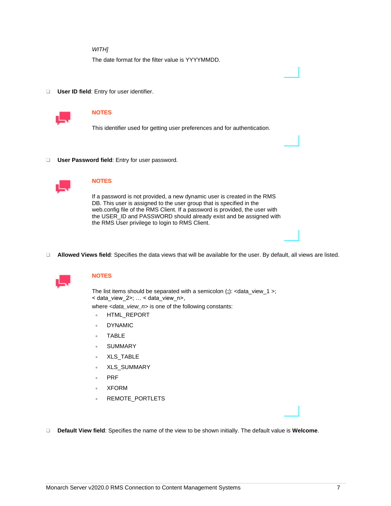## *WITH]*

The date format for the filter value is YYYYMMDD.

❑ **User ID field**: Entry for user identifier.



# **NOTES**

This identifier used for getting user preferences and for authentication.

❑ **User Password field**: Entry for user password.



# **NOTES**

If a password is not provided, a new dynamic user is created in the RMS DB. This user is assigned to the user group that is specified in the web.config file of the RMS Client. If a password is provided, the user with the USER\_ID and PASSWORD should already exist and be assigned with the RMS User privilege to login to RMS Client.

❑ **Allowed Views field**: Specifies the data views that will be available for the user. By default, all views are listed.



# **NOTES**

The list items should be separated with a semicolon (**;**): <data\_view\_1 >; < data\_view\_2>; … < data\_view\_n>,

where <*data\_view\_n*> is one of the following constants:

- HTML\_REPORT
- DYNAMIC
- TABLE
- **SUMMARY**
- XLS\_TABLE
- XLS\_SUMMARY
- PRF
- XFORM
- REMOTE\_PORTLETS
- ❑ **Default View field**: Specifies the name of the view to be shown initially. The default value is **Welcome**.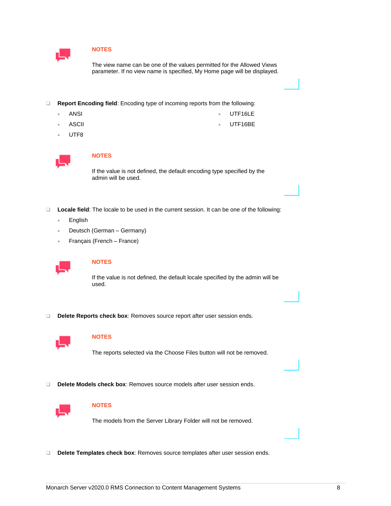

The view name can be one of the values permitted for the Allowed Views parameter. If no view name is specified, My Home page will be displayed.

- ❑ **Report Encoding field**: Encoding type of incoming reports from the following:
	- ANSI • UTF16LE
	- **ASCII** UTF16BE
	- UTF8



# **NOTES**

If the value is not defined, the default encoding type specified by the admin will be used.

- ❑ **Locale field**: The locale to be used in the current session. It can be one of the following:
	- English
	- Deutsch (German Germany)
	- Français (French France)



# **NOTES**

If the value is not defined, the default locale specified by the admin will be used.

❑ **Delete Reports check box**: Removes source report after user session ends.



# **NOTES**

The reports selected via the Choose Files button will not be removed.

❑ **Delete Models check box**: Removes source models after user session ends.



# **NOTES**

The models from the Server Library Folder will not be removed.

❑ **Delete Templates check box**: Removes source templates after user session ends.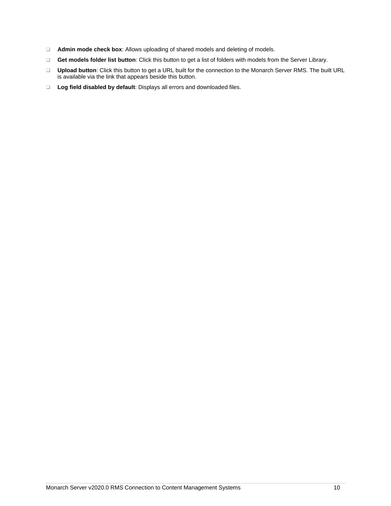- ❑ **Admin mode check box**: Allows uploading of shared models and deleting of models.
- ❑ **Get models folder list button**: Click this button to get a list of folders with models from the Server Library.
- ❑ **Upload button**: Click this button to get a URL built for the connection to the Monarch Server RMS. The built URL is available via the link that appears beside this button.
- ❑ **Log field disabled by default**: Displays all errors and downloaded files.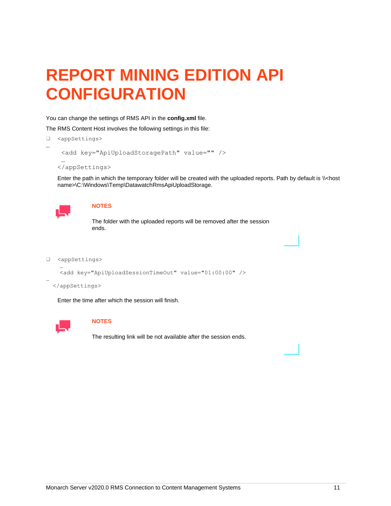# <span id="page-11-0"></span>**REPORT MINING EDITION API CONFIGURATION**

You can change the settings of RMS API in the **config.xml** file.

The RMS Content Host involves the following settings in this file:

❑ <appSettings>

```
 <add key="ApiUploadStoragePath" value="" />
```

```
 …
</appSettings>
```
Enter the path in which the temporary folder will be created with the uploaded reports. Path by default is \\<host name>\C:\Windows\Temp\DatawatchRmsApiUploadStorage.



…

…

…

#### **NOTES**

The folder with the uploaded reports will be removed after the session ends.

❑ <appSettings>

```
 <add key="ApiUploadSessionTimeOut" value="01:00:00" />
```
</appSettings>

Enter the time after which the session will finish.



# **NOTES**

The resulting link will be not available after the session ends.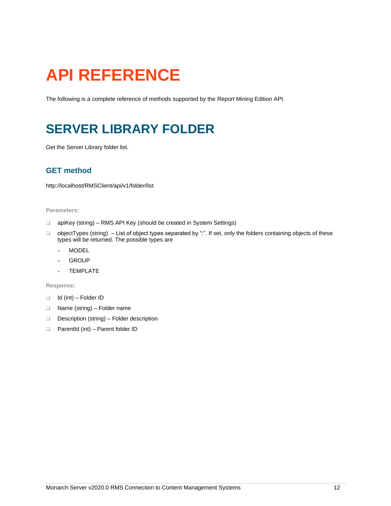# <span id="page-12-0"></span>**API REFERENCE**

<span id="page-12-1"></span>The following is a complete reference of methods supported by the Report Mining Edition API.

# **SERVER LIBRARY FOLDER**

<span id="page-12-2"></span>Get the Server Library folder list.

# **GET method**

http://localhost/RMSClient/api/v1/folder/list

#### **Parameters:**

- ❑ apiKey (string) RMS API Key (should be created in System Settings)
- ❑ objectTypes (string) List of object types separated by ";". If set, only the folders containing objects of these types will be returned. The possible types are
	- MODEL
	- GROUP
	- TEMPLATE

#### **Response:**

- ❑ Id (int) Folder ID
- ❑ Name (string) Folder name
- ❑ Description (string) Folder description
- ❑ ParentId (int) Parent folder ID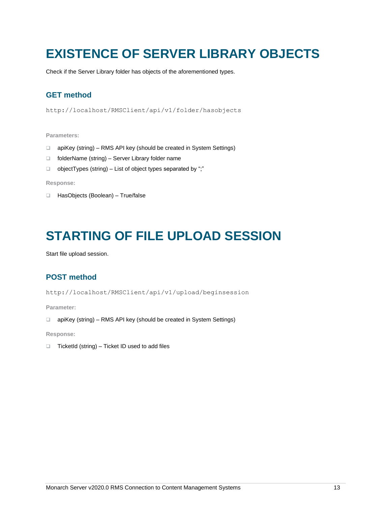# <span id="page-13-0"></span>**EXISTENCE OF SERVER LIBRARY OBJECTS**

<span id="page-13-1"></span>Check if the Server Library folder has objects of the aforementioned types.

# **GET method**

http://localhost/RMSClient/api/v1/folder/hasobjects

### **Parameters:**

- ❑ apiKey (string) RMS API key (should be created in System Settings)
- ❑ folderName (string) Server Library folder name
- ❑ objectTypes (string) List of object types separated by ";"

### **Response:**

❑ HasObjects (Boolean) – True/false

# <span id="page-13-2"></span>**STARTING OF FILE UPLOAD SESSION**

<span id="page-13-3"></span>Start file upload session.

# **POST method**

http://localhost/RMSClient/api/v1/upload/beginsession

**Parameter:**

❑ apiKey (string) – RMS API key (should be created in System Settings)

**Response:**

❑ TicketId (string) – Ticket ID used to add files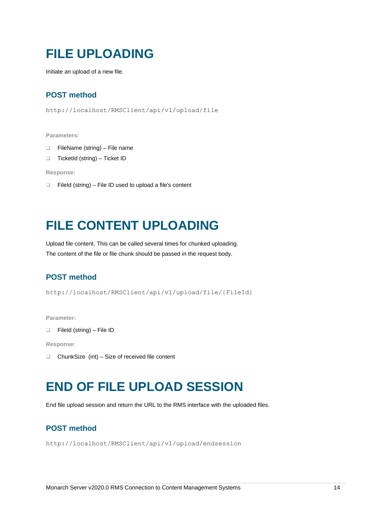# <span id="page-14-0"></span>**FILE UPLOADING**

<span id="page-14-1"></span>Initiate an upload of a new file.

# **POST method**

```
http://localhost/RMSClient/api/v1/upload/file
```
#### **Parameters:**

- ❑ FileName (string) File name
- ❑ TicketId (string) Ticket ID

**Response:**

❑ FileId (string) – File ID used to upload a file's content

# <span id="page-14-2"></span>**FILE CONTENT UPLOADING**

Upload file content. This can be called several times for chunked uploading. The content of the file or file chunk should be passed in the request body.

# <span id="page-14-3"></span>**POST method**

http://localhost/RMSClient/api/v1/upload/file/{FileId}

**Parameter:**

```
❑ FileId (string) – File ID
```
**Response:**

<span id="page-14-4"></span>❑ ChunkSize (int) – Size of received file content

# **END OF FILE UPLOAD SESSION**

<span id="page-14-5"></span>End file upload session and return the URL to the RMS interface with the uploaded files.

# **POST method**

http://localhost/RMSClient/api/v1/upload/endsession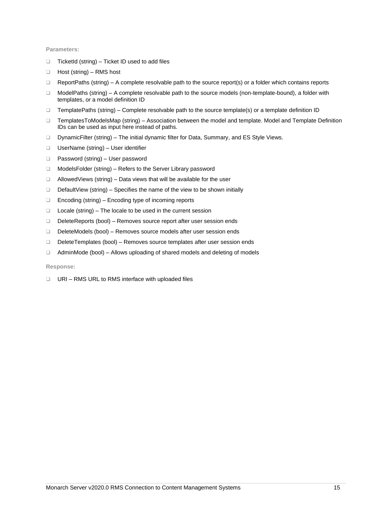### **Parameters:**

- ❑ TicketId (string) Ticket ID used to add files
- ❑ Host (string) RMS host
- ❑ ReportPaths (string) A complete resolvable path to the source report(s) or a folder which contains reports
- ❑ ModelPaths (string) A complete resolvable path to the source models (non-template-bound), a folder with templates, or a model definition ID
- ❑ TemplatePaths (string) Complete resolvable path to the source template(s) or a template definition ID
- ❑ TemplatesToModelsMap (string) Association between the model and template. Model and Template Definition IDs can be used as input here instead of paths.
- ❑ DynamicFilter (string) The initial dynamic filter for Data, Summary, and ES Style Views.
- ❑ UserName (string) User identifier
- ❑ Password (string) User password
- ❑ ModelsFolder (string) Refers to the Server Library password
- ❑ AllowedViews (string) Data views that will be available for the user
- ❑ DefaultView (string) Specifies the name of the view to be shown initially
- ❑ Encoding (string) Encoding type of incoming reports
- ❑ Locale (string) The locale to be used in the current session
- ❑ DeleteReports (bool) Removes source report after user session ends
- ❑ DeleteModels (bool) Removes source models after user session ends
- ❑ DeleteTemplates (bool) Removes source templates after user session ends
- ❑ AdminMode (bool) Allows uploading of shared models and deleting of models

**Response:**

❑ URI – RMS URL to RMS interface with uploaded files